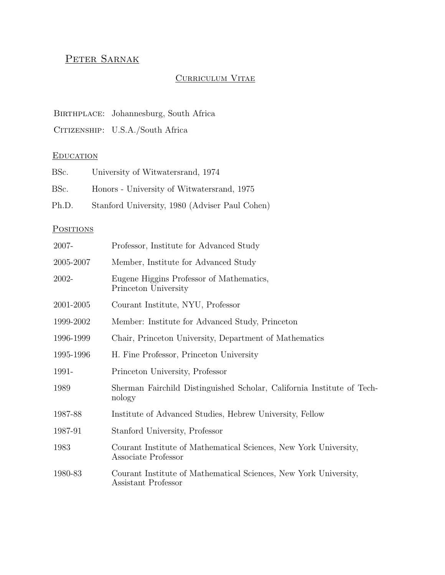# PETER SARNAK

### CURRICULUM VITAE

### BIRTHPLACE: Johannesburg, South Africa

CITIZENSHIP: U.S.A./South Africa

### **EDUCATION**

| BSc.  | University of Witwatersrand, 1974              |
|-------|------------------------------------------------|
| BSc.  | Honors - University of Witwatersrand, 1975     |
| Ph.D. | Stanford University, 1980 (Adviser Paul Cohen) |

# **POSITIONS**

| 2007-     | Professor, Institute for Advanced Study                                                 |  |  |
|-----------|-----------------------------------------------------------------------------------------|--|--|
| 2005-2007 | Member, Institute for Advanced Study                                                    |  |  |
| 2002-     | Eugene Higgins Professor of Mathematics,<br>Princeton University                        |  |  |
| 2001-2005 | Courant Institute, NYU, Professor                                                       |  |  |
| 1999-2002 | Member: Institute for Advanced Study, Princeton                                         |  |  |
| 1996-1999 | Chair, Princeton University, Department of Mathematics                                  |  |  |
| 1995-1996 | H. Fine Professor, Princeton University                                                 |  |  |
| 1991-     | Princeton University, Professor                                                         |  |  |
| 1989      | Sherman Fairchild Distinguished Scholar, California Institute of Tech-<br>nology        |  |  |
| 1987-88   | Institute of Advanced Studies, Hebrew University, Fellow                                |  |  |
| 1987-91   | Stanford University, Professor                                                          |  |  |
| 1983      | Courant Institute of Mathematical Sciences, New York University,<br>Associate Professor |  |  |
| 1980-83   | Courant Institute of Mathematical Sciences, New York University,<br>Assistant Professor |  |  |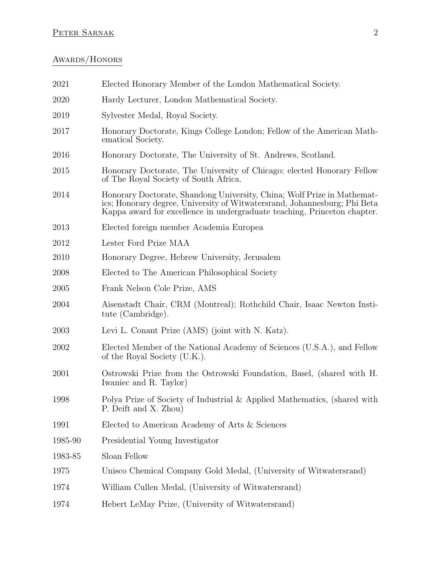# PETER SARNAK 2

# AWARDS/HONORS

| 2021    | Elected Honorary Member of the London Mathematical Society.                                                                                                                                                                      |  |  |
|---------|----------------------------------------------------------------------------------------------------------------------------------------------------------------------------------------------------------------------------------|--|--|
| 2020    | Hardy Lecturer, London Mathematical Society.                                                                                                                                                                                     |  |  |
| 2019    | Sylvester Medal, Royal Society.                                                                                                                                                                                                  |  |  |
| 2017    | Honorary Doctorate, Kings College London; Fellow of the American Math-<br>ematical Society.                                                                                                                                      |  |  |
| 2016    | Honorary Doctorate, The University of St. Andrews, Scotland.                                                                                                                                                                     |  |  |
| 2015    | Honorary Doctorate, The University of Chicago; elected Honorary Fellow<br>of The Royal Society of South Africa.                                                                                                                  |  |  |
| 2014    | Honorary Doctorate, Shandong University, China; Wolf Prize in Mathemat-<br>ics; Honorary degree, University of Witwatersrand, Johannesburg; Phi Beta<br>Kappa award for excellence in undergraduate teaching, Princeton chapter. |  |  |
| 2013    | Elected foreign member Academia Europea                                                                                                                                                                                          |  |  |
| 2012    | Lester Ford Prize MAA                                                                                                                                                                                                            |  |  |
| 2010    | Honorary Degree, Hebrew University, Jerusalem                                                                                                                                                                                    |  |  |
| 2008    | Elected to The American Philosophical Society                                                                                                                                                                                    |  |  |
| 2005    | Frank Nelson Cole Prize, AMS                                                                                                                                                                                                     |  |  |
| 2004    | Aisenstadt Chair, CRM (Montreal); Rothchild Chair, Isaac Newton Insti-<br>tute (Cambridge).                                                                                                                                      |  |  |
| 2003    | Levi L. Conant Prize (AMS) (joint with N. Katz).                                                                                                                                                                                 |  |  |
| 2002    | Elected Member of the National Academy of Sciences (U.S.A.), and Fellow<br>of the Royal Society (U.K.).                                                                                                                          |  |  |
| 2001    | Ostrowski Prize from the Ostrowski Foundation, Basel, (shared with H.<br>Iwaniec and R. Taylor)                                                                                                                                  |  |  |
| 1998    | Polya Prize of Society of Industrial & Applied Mathematics, (shared with<br>P. Deift and X. Zhou)                                                                                                                                |  |  |
| 1991    | Elected to American Academy of Arts & Sciences                                                                                                                                                                                   |  |  |
| 1985-90 | Presidential Young Investigator                                                                                                                                                                                                  |  |  |
| 1983-85 | Sloan Fellow                                                                                                                                                                                                                     |  |  |
| 1975    | Unisco Chemical Company Gold Medal, (University of Witwatersrand)                                                                                                                                                                |  |  |
| 1974    | William Cullen Medal, (University of Witwatersrand)                                                                                                                                                                              |  |  |
| 1974    | Hebert LeMay Prize, (University of Witwatersrand)                                                                                                                                                                                |  |  |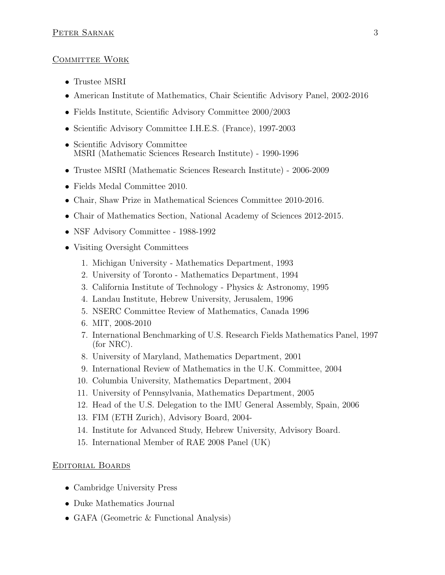### COMMITTEE WORK

- Trustee MSRI
- American Institute of Mathematics, Chair Scientific Advisory Panel, 2002-2016
- Fields Institute, Scientific Advisory Committee 2000/2003
- Scientific Advisory Committee I.H.E.S. (France), 1997-2003
- Scientific Advisory Committee MSRI (Mathematic Sciences Research Institute) - 1990-1996
- Trustee MSRI (Mathematic Sciences Research Institute) 2006-2009
- Fields Medal Committee 2010.
- Chair, Shaw Prize in Mathematical Sciences Committee 2010-2016.
- Chair of Mathematics Section, National Academy of Sciences 2012-2015.
- NSF Advisory Committee 1988-1992
- Visiting Oversight Committees
	- 1. Michigan University Mathematics Department, 1993
	- 2. University of Toronto Mathematics Department, 1994
	- 3. California Institute of Technology Physics & Astronomy, 1995
	- 4. Landau Institute, Hebrew University, Jerusalem, 1996
	- 5. NSERC Committee Review of Mathematics, Canada 1996
	- 6. MIT, 2008-2010
	- 7. International Benchmarking of U.S. Research Fields Mathematics Panel, 1997 (for NRC).
	- 8. University of Maryland, Mathematics Department, 2001
	- 9. International Review of Mathematics in the U.K. Committee, 2004
	- 10. Columbia University, Mathematics Department, 2004
	- 11. University of Pennsylvania, Mathematics Department, 2005
	- 12. Head of the U.S. Delegation to the IMU General Assembly, Spain, 2006
	- 13. FIM (ETH Zurich), Advisory Board, 2004-
	- 14. Institute for Advanced Study, Hebrew University, Advisory Board.
	- 15. International Member of RAE 2008 Panel (UK)

#### Editorial Boards

- Cambridge University Press
- Duke Mathematics Journal
- GAFA (Geometric & Functional Analysis)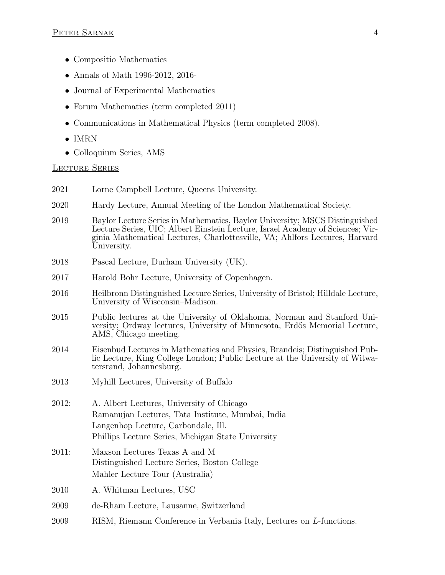- Compositio Mathematics
- Annals of Math 1996-2012, 2016-
- Journal of Experimental Mathematics
- Forum Mathematics (term completed 2011)
- Communications in Mathematical Physics (term completed 2008).
- IMRN
- Colloquium Series, AMS

### Lecture Series

- 2021 Lorne Campbell Lecture, Queens University.
- 2020 Hardy Lecture, Annual Meeting of the London Mathematical Society.
- 2019 Baylor Lecture Series in Mathematics, Baylor University; MSCS Distinguished Lecture Series, UIC; Albert Einstein Lecture, Israel Academy of Sciences; Virginia Mathematical Lectures, Charlottesville, VA; Ahlfors Lectures, Harvard University.
- 2018 Pascal Lecture, Durham University (UK).
- 2017 Harold Bohr Lecture, University of Copenhagen.
- 2016 Heilbronn Distinguished Lecture Series, University of Bristol; Hilldale Lecture, University of Wisconsin–Madison.
- 2015 Public lectures at the University of Oklahoma, Norman and Stanford University; Ordway lectures, University of Minnesota, Erd˝os Memorial Lecture, AMS, Chicago meeting.
- 2014 Eisenbud Lectures in Mathematics and Physics, Brandeis; Distinguished Public Lecture, King College London; Public Lecture at the University of Witwatersrand, Johannesburg.
- 2013 Myhill Lectures, University of Buffalo
- 2012: A. Albert Lectures, University of Chicago Ramanujan Lectures, Tata Institute, Mumbai, India Langenhop Lecture, Carbondale, Ill. Phillips Lecture Series, Michigan State University
- 2011: Maxson Lectures Texas A and M Distinguished Lecture Series, Boston College Mahler Lecture Tour (Australia)
- 2010 A. Whitman Lectures, USC
- 2009 de-Rham Lecture, Lausanne, Switzerland
- 2009 RISM, Riemann Conference in Verbania Italy, Lectures on L-functions.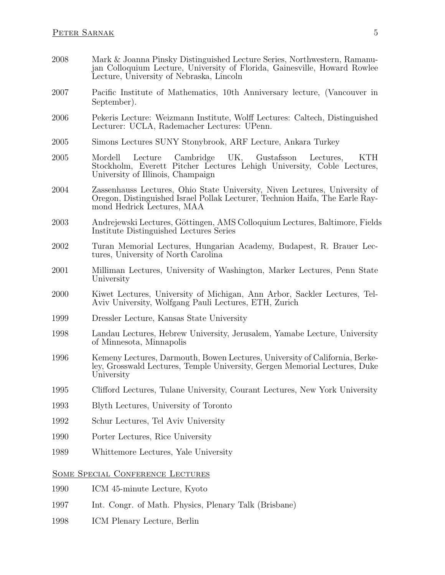- 2008 Mark & Joanna Pinsky Distinguished Lecture Series, Northwestern, Ramanujan Colloquium Lecture, University of Florida, Gainesville, Howard Rowlee Lecture, University of Nebraska, Lincoln
- 2007 Pacific Institute of Mathematics, 10th Anniversary lecture, (Vancouver in September).
- 2006 Pekeris Lecture: Weizmann Institute, Wolff Lectures: Caltech, Distinguished Lecturer: UCLA, Rademacher Lectures: UPenn.
- 2005 Simons Lectures SUNY Stonybrook, ARF Lecture, Ankara Turkey
- 2005 Mordell Lecture Cambridge UK, Gustafsson Lectures, KTH Stockholm, Everett Pitcher Lectures Lehigh University, Coble Lectures, University of Illinois, Champaign
- 2004 Zassenhauss Lectures, Ohio State University, Niven Lectures, University of Oregon, Distinguished Israel Pollak Lecturer, Technion Haifa, The Earle Raymond Hedrick Lectures, MAA
- 2003 Andrejewski Lectures, Göttingen, AMS Colloquium Lectures, Baltimore, Fields Institute Distinguished Lectures Series
- 2002 Turan Memorial Lectures, Hungarian Academy, Budapest, R. Brauer Lectures, University of North Carolina
- 2001 Milliman Lectures, University of Washington, Marker Lectures, Penn State University
- 2000 Kiwet Lectures, University of Michigan, Ann Arbor, Sackler Lectures, Tel-Aviv University, Wolfgang Pauli Lectures, ETH, Zurich
- 1999 Dressler Lecture, Kansas State University
- 1998 Landau Lectures, Hebrew University, Jerusalem, Yamabe Lecture, University of Minnesota, Minnapolis
- 1996 Kemeny Lectures, Darmouth, Bowen Lectures, University of California, Berkeley, Grosswald Lectures, Temple University, Gergen Memorial Lectures, Duke University
- 1995 Clifford Lectures, Tulane University, Courant Lectures, New York University
- 1993 Blyth Lectures, University of Toronto
- 1992 Schur Lectures, Tel Aviv University
- 1990 Porter Lectures, Rice University
- 1989 Whittemore Lectures, Yale University

#### Some Special Conference Lectures

- 1990 ICM 45-minute Lecture, Kyoto
- 1997 Int. Congr. of Math. Physics, Plenary Talk (Brisbane)
- 1998 ICM Plenary Lecture, Berlin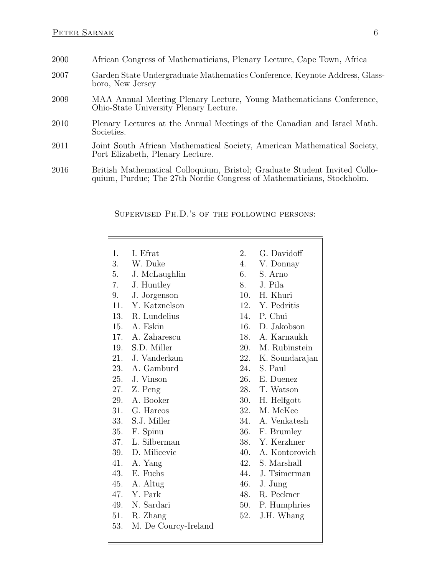- 2000 African Congress of Mathematicians, Plenary Lecture, Cape Town, Africa
- 2007 Garden State Undergraduate Mathematics Conference, Keynote Address, Glassboro, New Jersey
- 2009 MAA Annual Meeting Plenary Lecture, Young Mathematicians Conference, Ohio-State University Plenary Lecture.
- 2010 Plenary Lectures at the Annual Meetings of the Canadian and Israel Math. Societies.
- 2011 Joint South African Mathematical Society, American Mathematical Society, Port Elizabeth, Plenary Lecture.
- 2016 British Mathematical Colloquium, Bristol; Graduate Student Invited Colloquium, Purdue; The 27th Nordic Congress of Mathematicians, Stockholm.

#### Supervised Ph.D.'s of the following persons:

| 1.  | I. Efrat             | 2.  | G. Davidoff        |
|-----|----------------------|-----|--------------------|
| 3.  | W. Duke              |     | 4. V. Donnay       |
| 5.  | J. McLaughlin        | 6.  | S. Arno            |
| 7.  | J. Huntley           | 8.  | J. Pila            |
| 9.  | J. Jorgenson         |     | 10. H. Khuri       |
| 11. | Y. Katznelson        |     | 12. Y. Pedritis    |
|     | 13. R. Lundelius     |     | 14. P. Chui        |
|     | 15. A. Eskin         |     | 16. D. Jakobson    |
|     | 17. A. Zaharescu     |     | 18. A. Karnaukh    |
|     | 19. S.D. Miller      |     | 20. M. Rubinstein  |
| 21. | J. Vanderkam         |     | 22. K. Soundarajan |
|     | 23. A. Gamburd       | 24. | S. Paul            |
|     | 25. J. Vinson        |     | 26. E. Duenez      |
|     | 27. Z. Peng          |     | 28. T. Watson      |
| 29. | A. Booker            | 30. | H. Helfgott        |
|     | 31. G. Harcos        |     | 32. M. McKee       |
|     | 33. S.J. Miller      |     | 34. A. Venkatesh   |
|     | 35. F. Spinu         |     | 36. F. Brumley     |
| 37. | L. Silberman         |     | 38. Y. Kerzhner    |
| 39. | D. Milicevic         |     | 40. A. Kontorovich |
| 41. | A. Yang              |     | 42. S. Marshall    |
|     | 43. E. Fuchs         |     | 44. J. Tsimerman   |
| 45. | A. Altug             |     | 46. J. Jung        |
|     | 47. Y. Park          |     | 48. R. Peckner     |
|     | 49. N. Sardari       |     | 50. P. Humphries   |
|     | 51. R. Zhang         | 52. | J.H. Whang         |
| 53. | M. De Courcy-Ireland |     |                    |
|     |                      |     |                    |
|     |                      |     |                    |